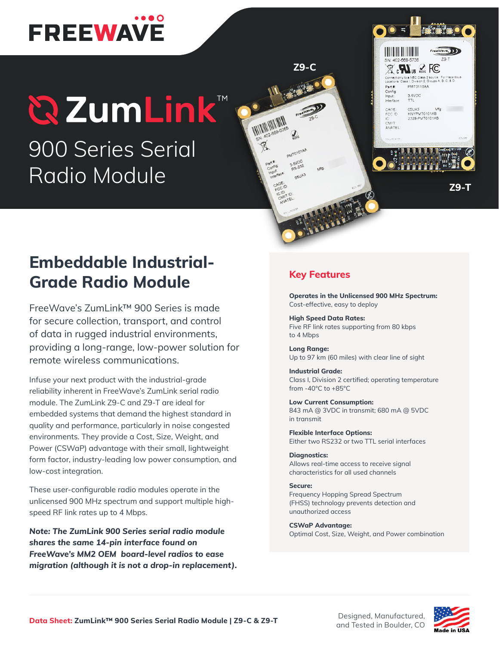# **FREEWAVE**

## **QZumLink™** 900 Series Serial Radio Module

```
HERIO HERIO
  \boxtimes , \blacksquare , \blacksquare FC
                 PMT0110AA
Part #
Config:<br>Input:<br>Interface
                 3-5VDC05UA3 N<br>KNYPMT0101AB
 CAGE:<br>FCC ID
                                     Mfg
                 2329-PMT0101AB
CMIT:<br>ANATEL
```
**Z9-T**

## **Embeddable Industrial-Grade Radio Module**

FreeWave's ZumLink™ 900 Series is made for secure collection, transport, and control of data in rugged industrial environments, providing a long-range, low-power solution for remote wireless communications.

Infuse your next product with the industrial-grade reliability inherent in FreeWave's ZumLink serial radio module. The ZumLink Z9-C and Z9-T are ideal for embedded systems that demand the highest standard in quality and performance, particularly in noise congested environments. They provide a Cost, Size, Weight, and Power (CSWaP) advantage with their small, lightweight form factor, industry-leading low power consumption, and low-cost integration.

These user-configurable radio modules operate in the unlicensed 900 MHz spectrum and support multiple highspeed RF link rates up to 4 Mbps.

*Note: The ZumLink 900 Series serial radio module shares the same 14-pin interface found on FreeWave's MM2 OEM board-level radios to ease migration (although it is not a drop-in replacement).*

### **Key Features**

**Z9-C**

**ANTOTOTAL** 

**Operates in the Unlicensed 900 MHz Spectrum:**  Cost-effective, easy to deploy

**High Speed Data Rates:** Five RF link rates supporting from 80 kbps to 4 Mbps

**Long Range:** Up to 97 km (60 miles) with clear line of sight

**Industrial Grade:** Class I, Division 2 certified; operating temperature from -40°C to +85°C

**Low Current Consumption:** 843 mA @ 3VDC in transmit; 680 mA @ 5VDC in transmit

**Flexible Interface Options:** Either two RS232 or two TTL serial interfaces

### **Diagnostics:**

Allows real-time access to receive signal characteristics for all used channels

#### **Secure:**

Frequency Hopping Spread Spectrum (FHSS) technology prevents detection and unauthorized access

**CSWaP Advantage:** Optimal Cost, Size, Weight, and Power combination